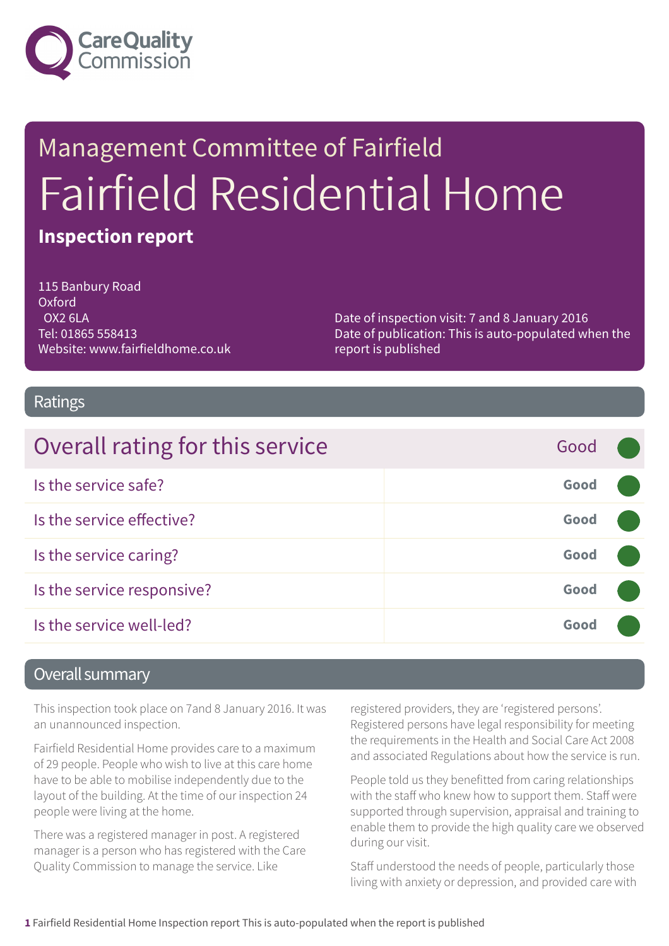

# Management Committee of Fairfield Fairfield Residential Home

#### **Inspection report**

115 Banbury Road **Oxford** OX2 6LA Tel: 01865 558413 Website: www.fairfieldhome.co.uk

Date of inspection visit: 7 and 8 January 2016 Date of publication: This is auto-populated when the report is published

#### Ratings

| Overall rating for this service | Good |  |
|---------------------------------|------|--|
| Is the service safe?            | Good |  |
| Is the service effective?       | Good |  |
| Is the service caring?          | Good |  |
| Is the service responsive?      | Good |  |
| Is the service well-led?        | Good |  |

#### Overall summary

This inspection took place on 7and 8 January 2016. It was an unannounced inspection.

Fairfield Residential Home provides care to a maximum of 29 people. People who wish to live at this care home have to be able to mobilise independently due to the layout of the building. At the time of our inspection 24 people were living at the home.

There was a registered manager in post. A registered manager is a person who has registered with the Care Quality Commission to manage the service. Like

registered providers, they are 'registered persons'. Registered persons have legal responsibility for meeting the requirements in the Health and Social Care Act 2008 and associated Regulations about how the service is run.

People told us they benefitted from caring relationships with the staff who knew how to support them. Staff were supported through supervision, appraisal and training to enable them to provide the high quality care we observed during our visit.

Staff understood the needs of people, particularly those living with anxiety or depression, and provided care with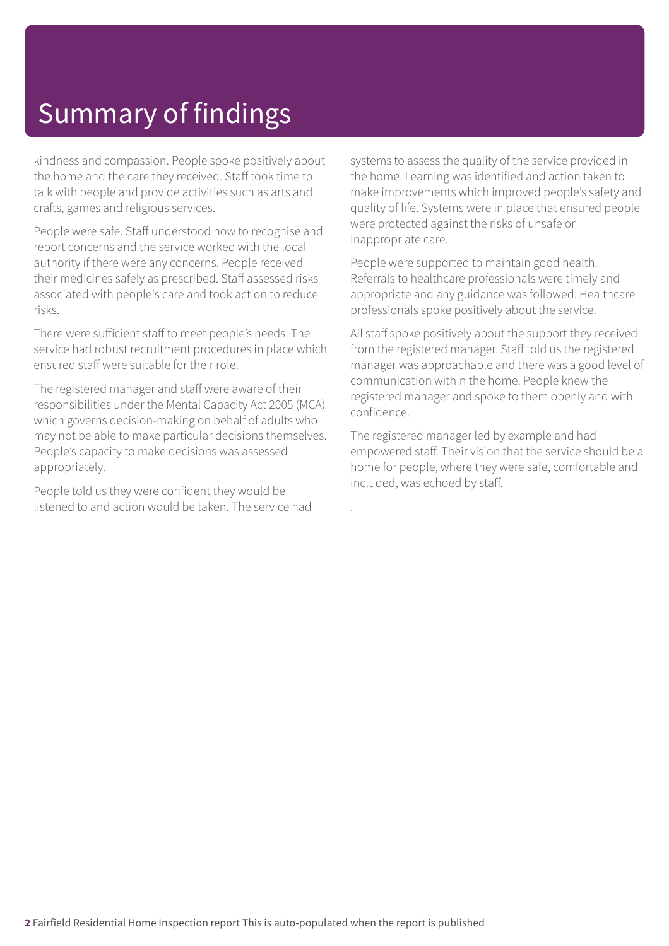### Summary of findings

kindness and compassion. People spoke positively about the home and the care they received. Staff took time to talk with people and provide activities such as arts and crafts, games and religious services.

People were safe. Staff understood how to recognise and report concerns and the service worked with the local authority if there were any concerns. People received their medicines safely as prescribed. Staff assessed risks associated with people's care and took action to reduce risks.

There were sufficient staff to meet people's needs. The service had robust recruitment procedures in place which ensured staff were suitable for their role.

The registered manager and staff were aware of their responsibilities under the Mental Capacity Act 2005 (MCA) which governs decision-making on behalf of adults who may not be able to make particular decisions themselves. People's capacity to make decisions was assessed appropriately.

People told us they were confident they would be listened to and action would be taken. The service had systems to assess the quality of the service provided in the home. Learning was identified and action taken to make improvements which improved people's safety and quality of life. Systems were in place that ensured people were protected against the risks of unsafe or inappropriate care.

People were supported to maintain good health. Referrals to healthcare professionals were timely and appropriate and any guidance was followed. Healthcare professionals spoke positively about the service.

All staff spoke positively about the support they received from the registered manager. Staff told us the registered manager was approachable and there was a good level of communication within the home. People knew the registered manager and spoke to them openly and with confidence.

The registered manager led by example and had empowered staff. Their vision that the service should be a home for people, where they were safe, comfortable and included, was echoed by staff.

.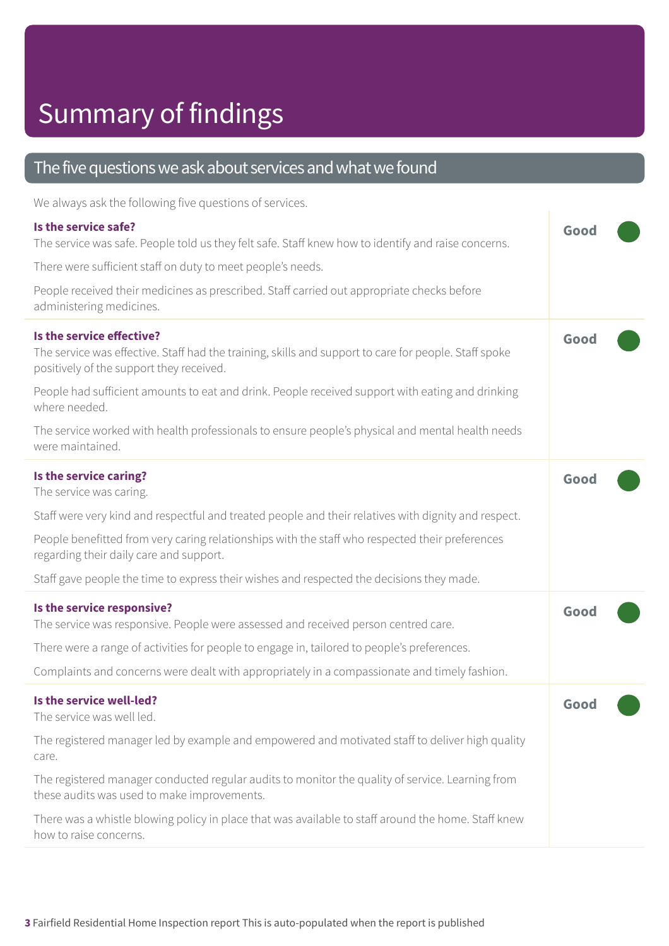#### The five questions we ask about services and what we found

We always ask the following five questions of services.

| Is the service safe?<br>The service was safe. People told us they felt safe. Staff knew how to identify and raise concerns.                                                    | Good |
|--------------------------------------------------------------------------------------------------------------------------------------------------------------------------------|------|
| There were sufficient staff on duty to meet people's needs.                                                                                                                    |      |
| People received their medicines as prescribed. Staff carried out appropriate checks before<br>administering medicines.                                                         |      |
| Is the service effective?<br>The service was effective. Staff had the training, skills and support to care for people. Staff spoke<br>positively of the support they received. | Good |
| People had sufficient amounts to eat and drink. People received support with eating and drinking<br>where needed.                                                              |      |
| The service worked with health professionals to ensure people's physical and mental health needs<br>were maintained.                                                           |      |
| Is the service caring?<br>The service was caring.                                                                                                                              | Good |
| Staff were very kind and respectful and treated people and their relatives with dignity and respect.                                                                           |      |
| People benefitted from very caring relationships with the staff who respected their preferences<br>regarding their daily care and support.                                     |      |
| Staff gave people the time to express their wishes and respected the decisions they made.                                                                                      |      |
| Is the service responsive?<br>The service was responsive. People were assessed and received person centred care.                                                               | Good |
| There were a range of activities for people to engage in, tailored to people's preferences.                                                                                    |      |
| Complaints and concerns were dealt with appropriately in a compassionate and timely fashion.                                                                                   |      |
| Is the service well-led?<br>The service was well led                                                                                                                           | Good |
| The registered manager led by example and empowered and motivated staff to deliver high quality<br>care.                                                                       |      |
| The registered manager conducted regular audits to monitor the quality of service. Learning from<br>these audits was used to make improvements.                                |      |
| There was a whistle blowing policy in place that was available to staff around the home. Staff knew<br>how to raise concerns.                                                  |      |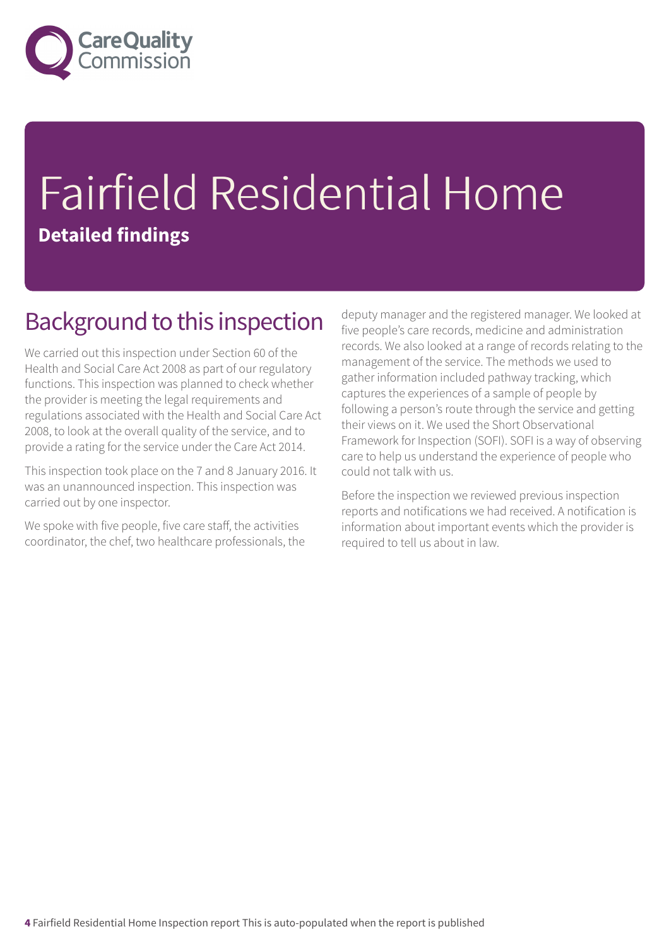

## Fairfield Residential Home **Detailed findings**

#### Background to this inspection

We carried out this inspection under Section 60 of the Health and Social Care Act 2008 as part of our regulatory functions. This inspection was planned to check whether the provider is meeting the legal requirements and regulations associated with the Health and Social Care Act 2008, to look at the overall quality of the service, and to provide a rating for the service under the Care Act 2014.

This inspection took place on the 7 and 8 January 2016. It was an unannounced inspection. This inspection was carried out by one inspector.

We spoke with five people, five care staff, the activities coordinator, the chef, two healthcare professionals, the deputy manager and the registered manager. We looked at five people's care records, medicine and administration records. We also looked at a range of records relating to the management of the service. The methods we used to gather information included pathway tracking, which captures the experiences of a sample of people by following a person's route through the service and getting their views on it. We used the Short Observational Framework for Inspection (SOFI). SOFI is a way of observing care to help us understand the experience of people who could not talk with us.

Before the inspection we reviewed previous inspection reports and notifications we had received. A notification is information about important events which the provider is required to tell us about in law.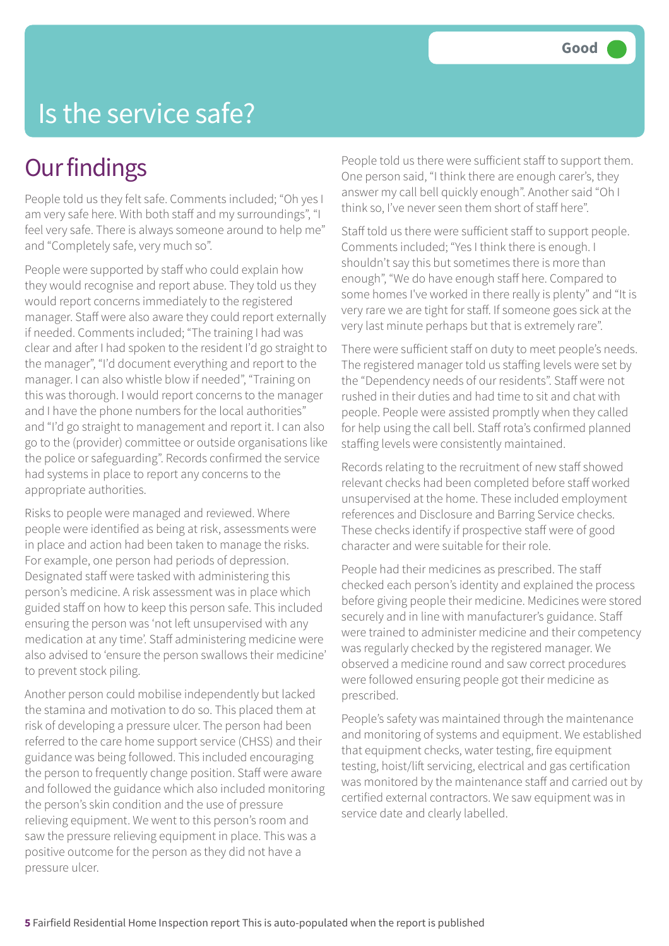#### Is the service safe?

#### **Our findings**

People told us they felt safe. Comments included; "Oh yes I am very safe here. With both staff and my surroundings", "I feel very safe. There is always someone around to help me" and "Completely safe, very much so".

People were supported by staff who could explain how they would recognise and report abuse. They told us they would report concerns immediately to the registered manager. Staff were also aware they could report externally if needed. Comments included; "The training I had was clear and after I had spoken to the resident I'd go straight to the manager", "I'd document everything and report to the manager. I can also whistle blow if needed", "Training on this was thorough. I would report concerns to the manager and I have the phone numbers for the local authorities" and "I'd go straight to management and report it. I can also go to the (provider) committee or outside organisations like the police or safeguarding". Records confirmed the service had systems in place to report any concerns to the appropriate authorities.

Risks to people were managed and reviewed. Where people were identified as being at risk, assessments were in place and action had been taken to manage the risks. For example, one person had periods of depression. Designated staff were tasked with administering this person's medicine. A risk assessment was in place which guided staff on how to keep this person safe. This included ensuring the person was 'not left unsupervised with any medication at any time'. Staff administering medicine were also advised to 'ensure the person swallows their medicine' to prevent stock piling.

Another person could mobilise independently but lacked the stamina and motivation to do so. This placed them at risk of developing a pressure ulcer. The person had been referred to the care home support service (CHSS) and their guidance was being followed. This included encouraging the person to frequently change position. Staff were aware and followed the guidance which also included monitoring the person's skin condition and the use of pressure relieving equipment. We went to this person's room and saw the pressure relieving equipment in place. This was a positive outcome for the person as they did not have a pressure ulcer.

People told us there were sufficient staff to support them. One person said, "I think there are enough carer's, they answer my call bell quickly enough". Another said "Oh I think so, I've never seen them short of staff here".

Staff told us there were sufficient staff to support people. Comments included; "Yes I think there is enough. I shouldn't say this but sometimes there is more than enough", "We do have enough staff here. Compared to some homes I've worked in there really is plenty" and "It is very rare we are tight for staff. If someone goes sick at the very last minute perhaps but that is extremely rare".

There were sufficient staff on duty to meet people's needs. The registered manager told us staffing levels were set by the "Dependency needs of our residents". Staff were not rushed in their duties and had time to sit and chat with people. People were assisted promptly when they called for help using the call bell. Staff rota's confirmed planned staffing levels were consistently maintained.

Records relating to the recruitment of new staff showed relevant checks had been completed before staff worked unsupervised at the home. These included employment references and Disclosure and Barring Service checks. These checks identify if prospective staff were of good character and were suitable for their role.

People had their medicines as prescribed. The staff checked each person's identity and explained the process before giving people their medicine. Medicines were stored securely and in line with manufacturer's guidance. Staff were trained to administer medicine and their competency was regularly checked by the registered manager. We observed a medicine round and saw correct procedures were followed ensuring people got their medicine as prescribed.

People's safety was maintained through the maintenance and monitoring of systems and equipment. We established that equipment checks, water testing, fire equipment testing, hoist/lift servicing, electrical and gas certification was monitored by the maintenance staff and carried out by certified external contractors. We saw equipment was in service date and clearly labelled.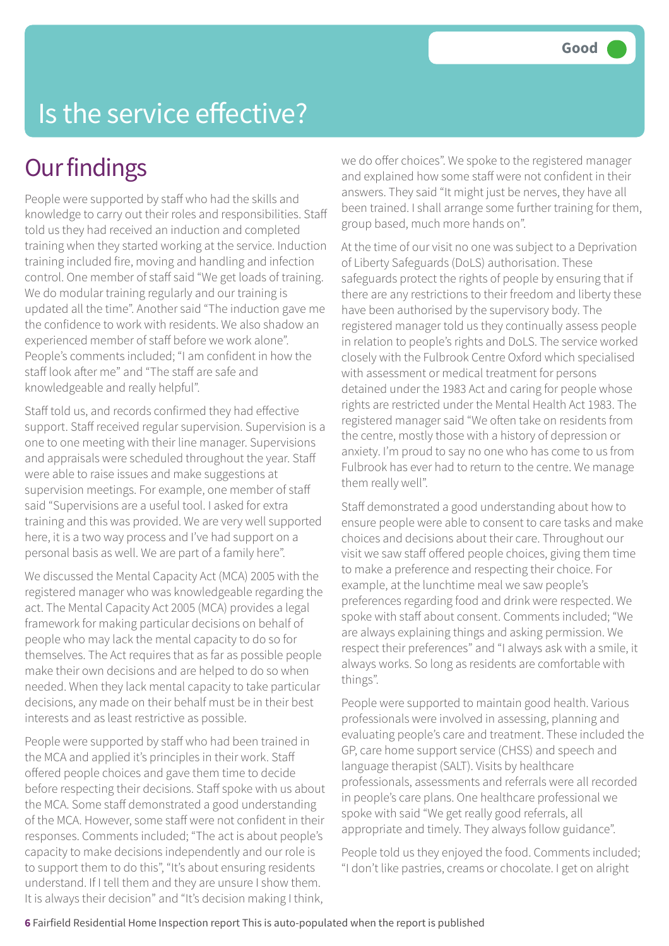### Is the service effective?

#### **Our findings**

People were supported by staff who had the skills and knowledge to carry out their roles and responsibilities. Staff told us they had received an induction and completed training when they started working at the service. Induction training included fire, moving and handling and infection control. One member of staff said "We get loads of training. We do modular training regularly and our training is updated all the time". Another said "The induction gave me the confidence to work with residents. We also shadow an experienced member of staff before we work alone". People's comments included; "I am confident in how the staff look after me" and "The staff are safe and knowledgeable and really helpful".

Staff told us, and records confirmed they had effective support. Staff received regular supervision. Supervision is a one to one meeting with their line manager. Supervisions and appraisals were scheduled throughout the year. Staff were able to raise issues and make suggestions at supervision meetings. For example, one member of staff said "Supervisions are a useful tool. I asked for extra training and this was provided. We are very well supported here, it is a two way process and I've had support on a personal basis as well. We are part of a family here".

We discussed the Mental Capacity Act (MCA) 2005 with the registered manager who was knowledgeable regarding the act. The Mental Capacity Act 2005 (MCA) provides a legal framework for making particular decisions on behalf of people who may lack the mental capacity to do so for themselves. The Act requires that as far as possible people make their own decisions and are helped to do so when needed. When they lack mental capacity to take particular decisions, any made on their behalf must be in their best interests and as least restrictive as possible.

People were supported by staff who had been trained in the MCA and applied it's principles in their work. Staff offered people choices and gave them time to decide before respecting their decisions. Staff spoke with us about the MCA. Some staff demonstrated a good understanding of the MCA. However, some staff were not confident in their responses. Comments included; "The act is about people's capacity to make decisions independently and our role is to support them to do this", "It's about ensuring residents understand. If I tell them and they are unsure I show them. It is always their decision" and "It's decision making I think,

we do offer choices". We spoke to the registered manager and explained how some staff were not confident in their answers. They said "It might just be nerves, they have all been trained. I shall arrange some further training for them, group based, much more hands on".

At the time of our visit no one was subject to a Deprivation of Liberty Safeguards (DoLS) authorisation. These safeguards protect the rights of people by ensuring that if there are any restrictions to their freedom and liberty these have been authorised by the supervisory body. The registered manager told us they continually assess people in relation to people's rights and DoLS. The service worked closely with the Fulbrook Centre Oxford which specialised with assessment or medical treatment for persons detained under the 1983 Act and caring for people whose rights are restricted under the Mental Health Act 1983. The registered manager said "We often take on residents from the centre, mostly those with a history of depression or anxiety. I'm proud to say no one who has come to us from Fulbrook has ever had to return to the centre. We manage them really well".

Staff demonstrated a good understanding about how to ensure people were able to consent to care tasks and make choices and decisions about their care. Throughout our visit we saw staff offered people choices, giving them time to make a preference and respecting their choice. For example, at the lunchtime meal we saw people's preferences regarding food and drink were respected. We spoke with staff about consent. Comments included; "We are always explaining things and asking permission. We respect their preferences" and "I always ask with a smile, it always works. So long as residents are comfortable with things".

People were supported to maintain good health. Various professionals were involved in assessing, planning and evaluating people's care and treatment. These included the GP, care home support service (CHSS) and speech and language therapist (SALT). Visits by healthcare professionals, assessments and referrals were all recorded in people's care plans. One healthcare professional we spoke with said "We get really good referrals, all appropriate and timely. They always follow guidance".

People told us they enjoyed the food. Comments included; "I don't like pastries, creams or chocolate. I get on alright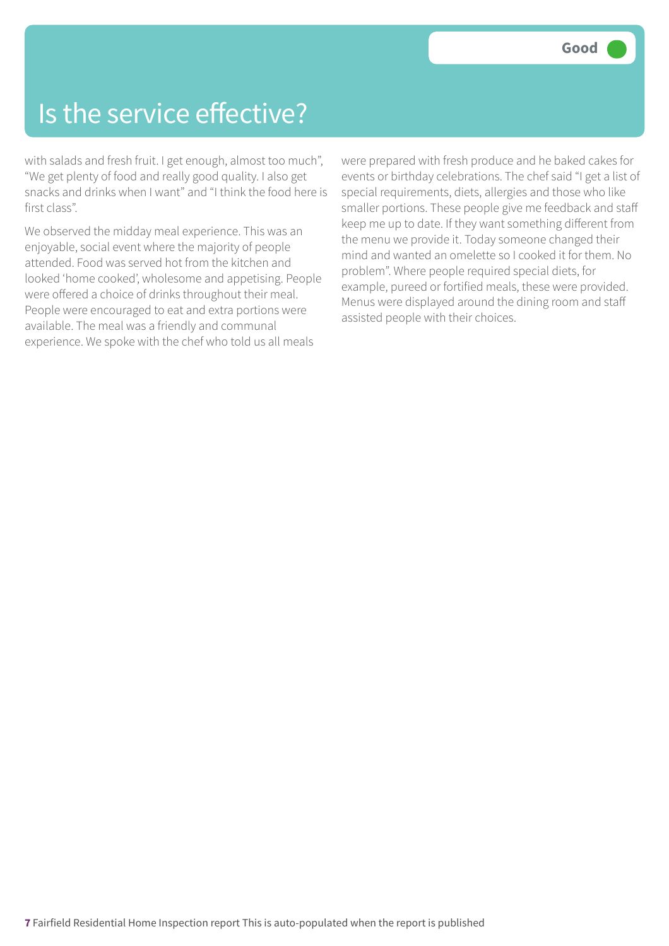#### Is the service effective?

with salads and fresh fruit. I get enough, almost too much", "We get plenty of food and really good quality. I also get snacks and drinks when I want" and "I think the food here is first class".

We observed the midday meal experience. This was an enjoyable, social event where the majority of people attended. Food was served hot from the kitchen and looked 'home cooked', wholesome and appetising. People were offered a choice of drinks throughout their meal. People were encouraged to eat and extra portions were available. The meal was a friendly and communal experience. We spoke with the chef who told us all meals

were prepared with fresh produce and he baked cakes for events or birthday celebrations. The chef said "I get a list of special requirements, diets, allergies and those who like smaller portions. These people give me feedback and staff keep me up to date. If they want something different from the menu we provide it. Today someone changed their mind and wanted an omelette so I cooked it for them. No problem". Where people required special diets, for example, pureed or fortified meals, these were provided. Menus were displayed around the dining room and staff assisted people with their choices.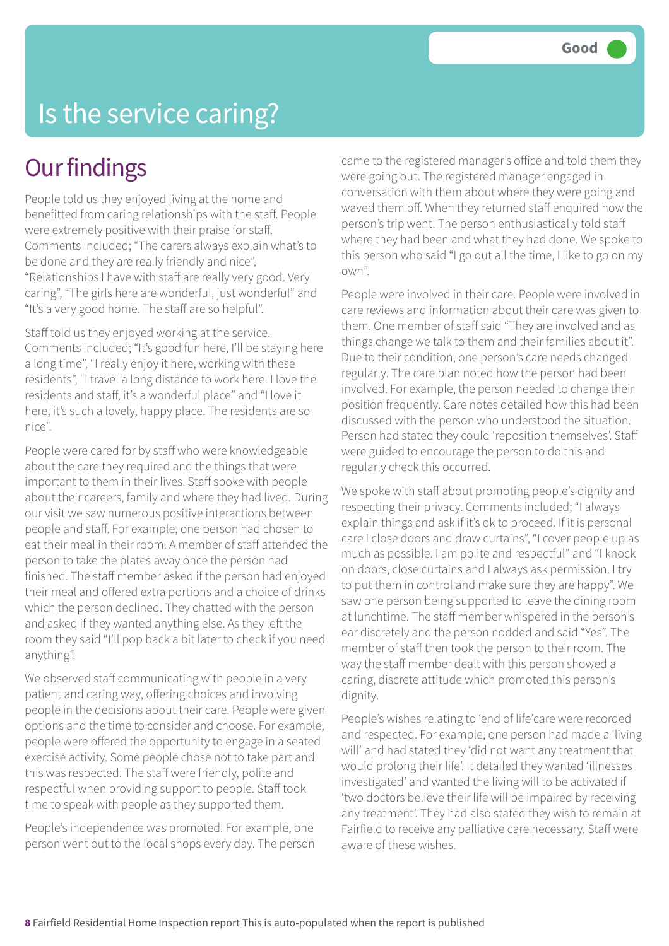### Is the service caring?

#### **Our findings**

People told us they enjoyed living at the home and benefitted from caring relationships with the staff. People were extremely positive with their praise for staff. Comments included; "The carers always explain what's to be done and they are really friendly and nice", "Relationships I have with staff are really very good. Very caring", "The girls here are wonderful, just wonderful" and "It's a very good home. The staff are so helpful".

Staff told us they enjoyed working at the service. Comments included; "It's good fun here, I'll be staying here a long time", "I really enjoy it here, working with these residents", "I travel a long distance to work here. I love the residents and staff, it's a wonderful place" and "I love it here, it's such a lovely, happy place. The residents are so nice".

People were cared for by staff who were knowledgeable about the care they required and the things that were important to them in their lives. Staff spoke with people about their careers, family and where they had lived. During our visit we saw numerous positive interactions between people and staff. For example, one person had chosen to eat their meal in their room. A member of staff attended the person to take the plates away once the person had finished. The staff member asked if the person had enjoyed their meal and offered extra portions and a choice of drinks which the person declined. They chatted with the person and asked if they wanted anything else. As they left the room they said "I'll pop back a bit later to check if you need anything".

We observed staff communicating with people in a very patient and caring way, offering choices and involving people in the decisions about their care. People were given options and the time to consider and choose. For example, people were offered the opportunity to engage in a seated exercise activity. Some people chose not to take part and this was respected. The staff were friendly, polite and respectful when providing support to people. Staff took time to speak with people as they supported them.

People's independence was promoted. For example, one person went out to the local shops every day. The person came to the registered manager's office and told them they were going out. The registered manager engaged in conversation with them about where they were going and waved them off. When they returned staff enquired how the person's trip went. The person enthusiastically told staff where they had been and what they had done. We spoke to this person who said "I go out all the time, I like to go on my own".

People were involved in their care. People were involved in care reviews and information about their care was given to them. One member of staff said "They are involved and as things change we talk to them and their families about it". Due to their condition, one person's care needs changed regularly. The care plan noted how the person had been involved. For example, the person needed to change their position frequently. Care notes detailed how this had been discussed with the person who understood the situation. Person had stated they could 'reposition themselves'. Staff were guided to encourage the person to do this and regularly check this occurred.

We spoke with staff about promoting people's dignity and respecting their privacy. Comments included; "I always explain things and ask if it's ok to proceed. If it is personal care I close doors and draw curtains", "I cover people up as much as possible. I am polite and respectful" and "I knock on doors, close curtains and I always ask permission. I try to put them in control and make sure they are happy". We saw one person being supported to leave the dining room at lunchtime. The staff member whispered in the person's ear discretely and the person nodded and said "Yes". The member of staff then took the person to their room. The way the staff member dealt with this person showed a caring, discrete attitude which promoted this person's dignity.

People's wishes relating to 'end of life'care were recorded and respected. For example, one person had made a 'living will' and had stated they 'did not want any treatment that would prolong their life'. It detailed they wanted 'illnesses investigated' and wanted the living will to be activated if 'two doctors believe their life will be impaired by receiving any treatment'. They had also stated they wish to remain at Fairfield to receive any palliative care necessary. Staff were aware of these wishes.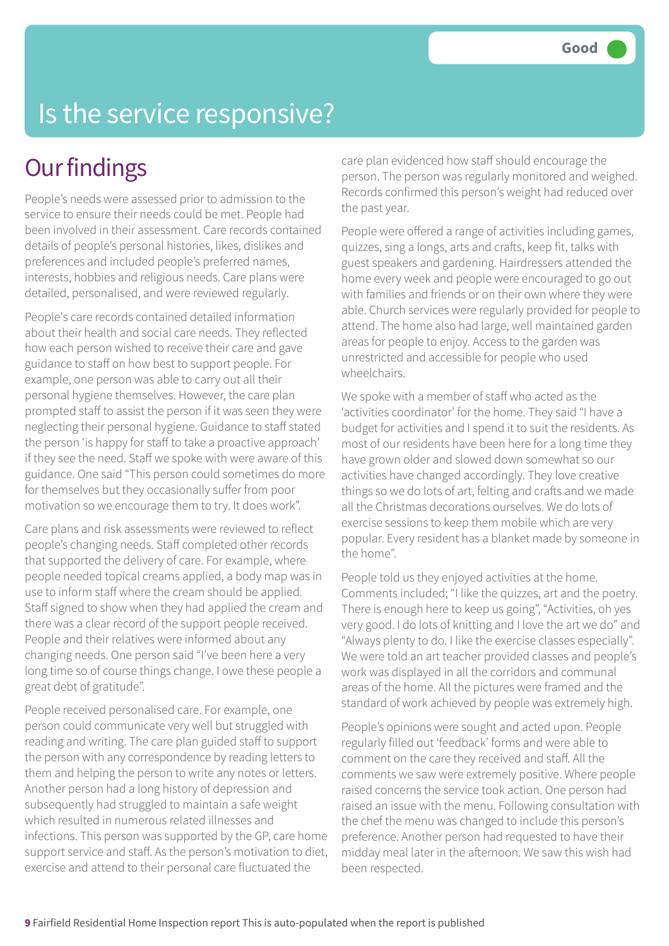### Is the service responsive?

#### **Our findings**

People's needs were assessed prior to admission to the service to ensure their needs could be met. People had been involved in their assessment. Care records contained details of people's personal histories, likes, dislikes and preferences and included people's preferred names, interests, hobbies and religious needs. Care plans were detailed, personalised, and were reviewed regularly.

People's care records contained detailed information about their health and social care needs. They reflected how each person wished to receive their care and gave guidance to staff on how best to support people. For example, one person was able to carry out all their personal hygiene themselves. However, the care plan prompted staff to assist the person if it was seen they were neglecting their personal hygiene. Guidance to staff stated the person 'is happy for staff to take a proactive approach' if they see the need. Staff we spoke with were aware of this guidance. One said "This person could sometimes do more for themselves but they occasionally suffer from poor motivation so we encourage them to try. It does work".

Care plans and risk assessments were reviewed to reflect people's changing needs. Staff completed other records that supported the delivery of care. For example, where people needed topical creams applied, a body map was in use to inform staff where the cream should be applied. Staff signed to show when they had applied the cream and there was a clear record of the support people received. People and their relatives were informed about any changing needs. One person said "I've been here a very long time so of course things change. I owe these people a great debt of gratitude".

People received personalised care. For example, one person could communicate very well but struggled with reading and writing. The care plan guided staff to support the person with any correspondence by reading letters to them and helping the person to write any notes or letters. Another person had a long history of depression and subsequently had struggled to maintain a safe weight which resulted in numerous related illnesses and infections. This person was supported by the GP, care home support service and staff. As the person's motivation to diet, exercise and attend to their personal care fluctuated the

care plan evidenced how staff should encourage the person. The person was regularly monitored and weighed. Records confirmed this person's weight had reduced over the past year.

People were offered a range of activities including games, quizzes, sing a longs, arts and crafts, keep fit, talks with guest speakers and gardening. Hairdressers attended the home every week and people were encouraged to go out with families and friends or on their own where they were able. Church services were regularly provided for people to attend. The home also had large, well maintained garden areas for people to enjoy. Access to the garden was unrestricted and accessible for people who used wheelchairs.

We spoke with a member of staff who acted as the 'activities coordinator' for the home. They said "I have a budget for activities and I spend it to suit the residents. As most of our residents have been here for a long time they have grown older and slowed down somewhat so our activities have changed accordingly. They love creative things so we do lots of art, felting and crafts and we made all the Christmas decorations ourselves. We do lots of exercise sessions to keep them mobile which are very popular. Every resident has a blanket made by someone in the home".

People told us they enjoyed activities at the home. Comments included; "I like the quizzes, art and the poetry. There is enough here to keep us going", "Activities, oh yes very good. I do lots of knitting and I love the art we do" and "Always plenty to do. I like the exercise classes especially". We were told an art teacher provided classes and people's work was displayed in all the corridors and communal areas of the home. All the pictures were framed and the standard of work achieved by people was extremely high.

People's opinions were sought and acted upon. People regularly filled out 'feedback' forms and were able to comment on the care they received and staff. All the comments we saw were extremely positive. Where people raised concerns the service took action. One person had raised an issue with the menu. Following consultation with the chef the menu was changed to include this person's preference. Another person had requested to have their midday meal later in the afternoon. We saw this wish had been respected.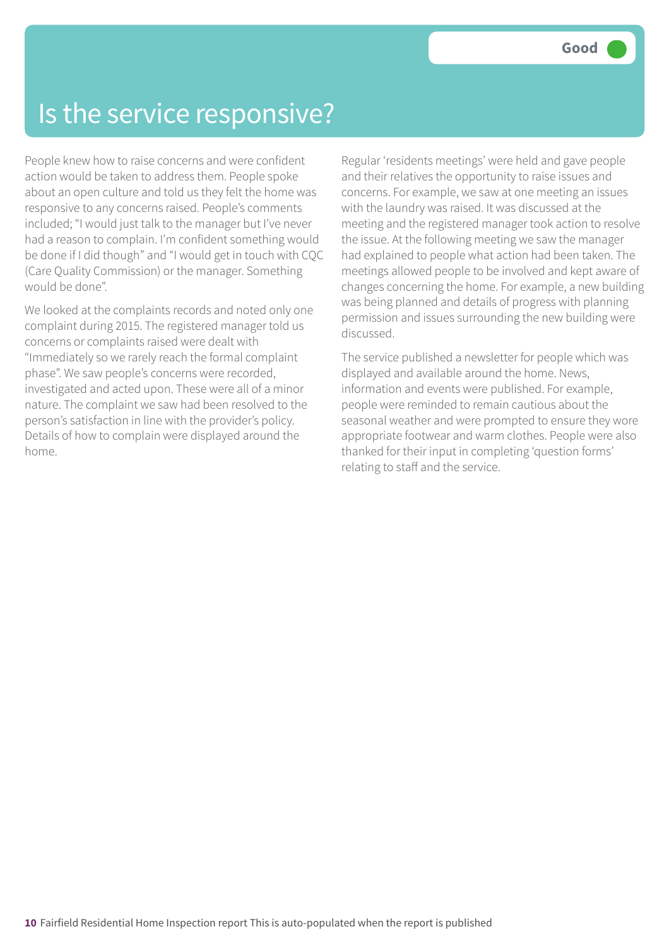#### Is the service responsive?

People knew how to raise concerns and were confident action would be taken to address them. People spoke about an open culture and told us they felt the home was responsive to any concerns raised. People's comments included; "I would just talk to the manager but I've never had a reason to complain. I'm confident something would be done if I did though" and "I would get in touch with CQC (Care Quality Commission) or the manager. Something would be done".

We looked at the complaints records and noted only one complaint during 2015. The registered manager told us concerns or complaints raised were dealt with "Immediately so we rarely reach the formal complaint phase". We saw people's concerns were recorded, investigated and acted upon. These were all of a minor nature. The complaint we saw had been resolved to the person's satisfaction in line with the provider's policy. Details of how to complain were displayed around the home.

Regular 'residents meetings' were held and gave people and their relatives the opportunity to raise issues and concerns. For example, we saw at one meeting an issues with the laundry was raised. It was discussed at the meeting and the registered manager took action to resolve the issue. At the following meeting we saw the manager had explained to people what action had been taken. The meetings allowed people to be involved and kept aware of changes concerning the home. For example, a new building was being planned and details of progress with planning permission and issues surrounding the new building were discussed.

The service published a newsletter for people which was displayed and available around the home. News, information and events were published. For example, people were reminded to remain cautious about the seasonal weather and were prompted to ensure they wore appropriate footwear and warm clothes. People were also thanked for their input in completing 'question forms' relating to staff and the service.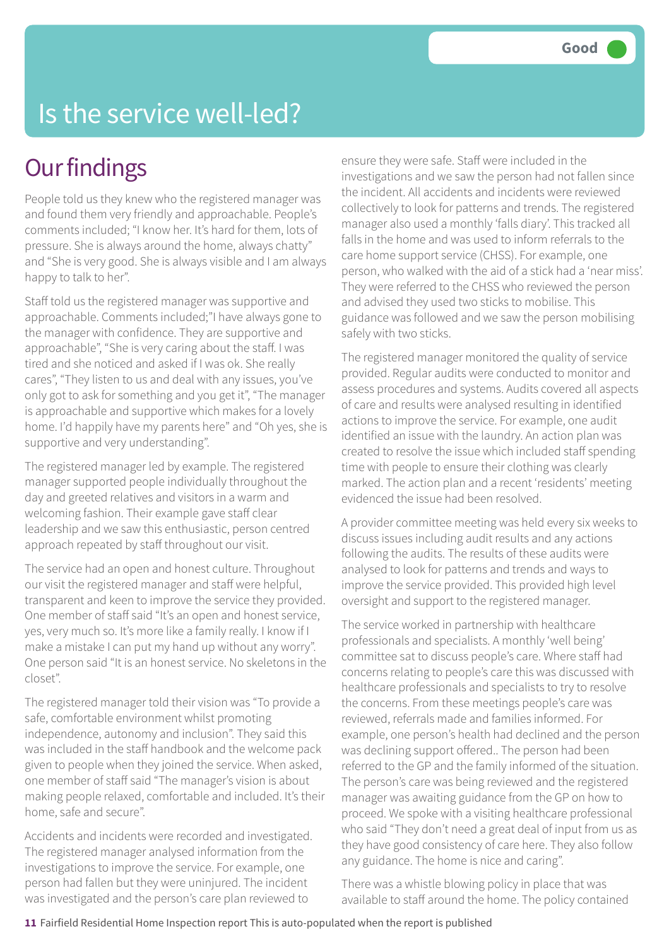### Is the service well-led?

#### **Our findings**

People told us they knew who the registered manager was and found them very friendly and approachable. People's comments included; "I know her. It's hard for them, lots of pressure. She is always around the home, always chatty" and "She is very good. She is always visible and I am always happy to talk to her".

Staff told us the registered manager was supportive and approachable. Comments included;"I have always gone to the manager with confidence. They are supportive and approachable", "She is very caring about the staff. I was tired and she noticed and asked if I was ok. She really cares", "They listen to us and deal with any issues, you've only got to ask for something and you get it", "The manager is approachable and supportive which makes for a lovely home. I'd happily have my parents here" and "Oh yes, she is supportive and very understanding".

The registered manager led by example. The registered manager supported people individually throughout the day and greeted relatives and visitors in a warm and welcoming fashion. Their example gave staff clear leadership and we saw this enthusiastic, person centred approach repeated by staff throughout our visit.

The service had an open and honest culture. Throughout our visit the registered manager and staff were helpful, transparent and keen to improve the service they provided. One member of staff said "It's an open and honest service, yes, very much so. It's more like a family really. I know if I make a mistake I can put my hand up without any worry". One person said "It is an honest service. No skeletons in the closet".

The registered manager told their vision was "To provide a safe, comfortable environment whilst promoting independence, autonomy and inclusion". They said this was included in the staff handbook and the welcome pack given to people when they joined the service. When asked, one member of staff said "The manager's vision is about making people relaxed, comfortable and included. It's their home, safe and secure".

Accidents and incidents were recorded and investigated. The registered manager analysed information from the investigations to improve the service. For example, one person had fallen but they were uninjured. The incident was investigated and the person's care plan reviewed to

ensure they were safe. Staff were included in the investigations and we saw the person had not fallen since the incident. All accidents and incidents were reviewed collectively to look for patterns and trends. The registered manager also used a monthly 'falls diary'. This tracked all falls in the home and was used to inform referrals to the care home support service (CHSS). For example, one person, who walked with the aid of a stick had a 'near miss'. They were referred to the CHSS who reviewed the person and advised they used two sticks to mobilise. This guidance was followed and we saw the person mobilising safely with two sticks.

The registered manager monitored the quality of service provided. Regular audits were conducted to monitor and assess procedures and systems. Audits covered all aspects of care and results were analysed resulting in identified actions to improve the service. For example, one audit identified an issue with the laundry. An action plan was created to resolve the issue which included staff spending time with people to ensure their clothing was clearly marked. The action plan and a recent 'residents' meeting evidenced the issue had been resolved.

A provider committee meeting was held every six weeks to discuss issues including audit results and any actions following the audits. The results of these audits were analysed to look for patterns and trends and ways to improve the service provided. This provided high level oversight and support to the registered manager.

The service worked in partnership with healthcare professionals and specialists. A monthly 'well being' committee sat to discuss people's care. Where staff had concerns relating to people's care this was discussed with healthcare professionals and specialists to try to resolve the concerns. From these meetings people's care was reviewed, referrals made and families informed. For example, one person's health had declined and the person was declining support offered.. The person had been referred to the GP and the family informed of the situation. The person's care was being reviewed and the registered manager was awaiting guidance from the GP on how to proceed. We spoke with a visiting healthcare professional who said "They don't need a great deal of input from us as they have good consistency of care here. They also follow any guidance. The home is nice and caring".

There was a whistle blowing policy in place that was available to staff around the home. The policy contained